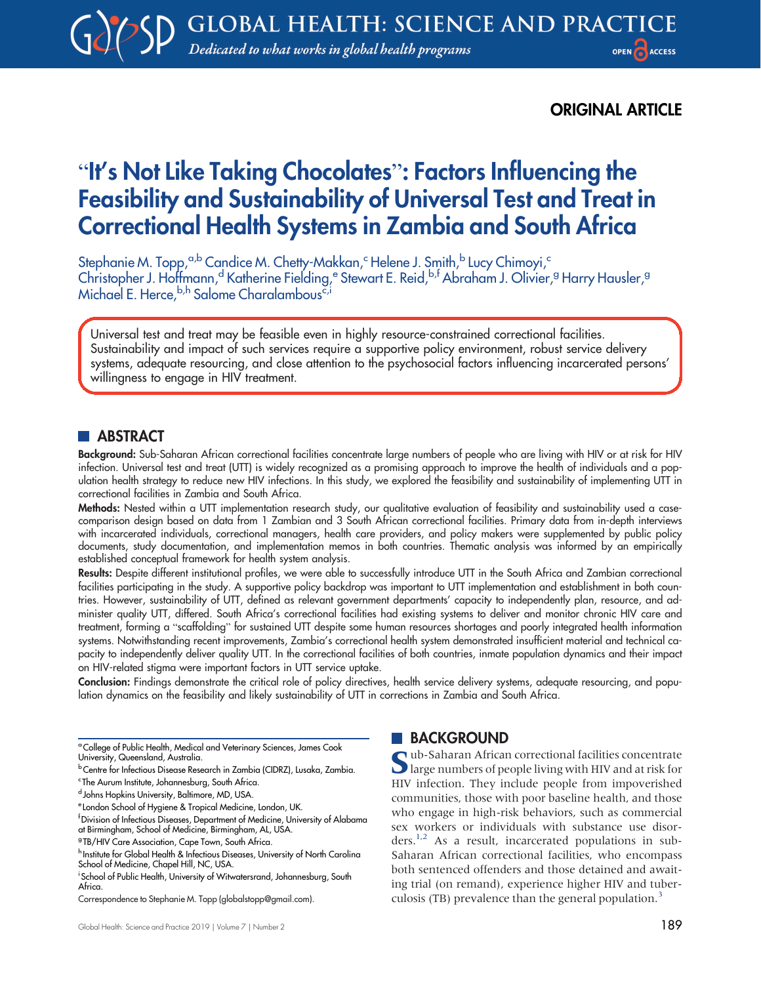ORIGINAL ARTICLE

# "It's Not Like Taking Chocolates": Factors Influencing the Feasibility and Sustainability of Universal Test and Treat in Correctional Health Systems in Zambia and South Africa

Stephanie M. Topp,<sup>a,b</sup> Candice M. Chetty-Makkan,<sup>c</sup> Helene J. Smith,<sup>b</sup> Lucy Chimoyi,<sup>c</sup> Christopher J. Hoffmann,<sup>d</sup> Katherine Fielding,<sup>e</sup> Stewart E. Reid,<sup>b,f</sup> Abraham J. Olivier,<sup>g</sup> Harry Hausler,<sup>g</sup> Michael E. Herce,<sup>b,h</sup> Salome Charalambous<sup>c,i</sup>

Universal test and treat may be feasible even in highly resource-constrained correctional facilities. Sustainability and impact of such services require a supportive policy environment, robust service delivery systems, adequate resourcing, and close attention to the psychosocial factors influencing incarcerated persons' willingness to engage in HIV treatment.

# **ABSTRACT**

Background: Sub-Saharan African correctional facilities concentrate large numbers of people who are living with HIV or at risk for HIV infection. Universal test and treat (UTT) is widely recognized as a promising approach to improve the health of individuals and a population health strategy to reduce new HIV infections. In this study, we explored the feasibility and sustainability of implementing UTT in correctional facilities in Zambia and South Africa.

Methods: Nested within a UTT implementation research study, our qualitative evaluation of feasibility and sustainability used a casecomparison design based on data from 1 Zambian and 3 South African correctional facilities. Primary data from in-depth interviews with incarcerated individuals, correctional managers, health care providers, and policy makers were supplemented by public policy documents, study documentation, and implementation memos in both countries. Thematic analysis was informed by an empirically established conceptual framework for health system analysis.

Results: Despite different institutional profiles, we were able to successfully introduce UTT in the South Africa and Zambian correctional facilities participating in the study. A supportive policy backdrop was important to UTT implementation and establishment in both countries. However, sustainability of UTT, defined as relevant government departments' capacity to independently plan, resource, and administer quality UTT, differed. South Africa's correctional facilities had existing systems to deliver and monitor chronic HIV care and treatment, forming a "scaffolding" for sustained UTT despite some human resources shortages and poorly integrated health information systems. Notwithstanding recent improvements, Zambia's correctional health system demonstrated insufficient material and technical capacity to independently deliver quality UTT. In the correctional facilities of both countries, inmate population dynamics and their impact on HIV-related stigma were important factors in UTT service uptake.

Conclusion: Findings demonstrate the critical role of policy directives, health service delivery systems, adequate resourcing, and population dynamics on the feasibility and likely sustainability of UTT in corrections in Zambia and South Africa.

# **BACKGROUND**

Sub-Saharan African correctional facilities concentrate large numbers of people living with HIV and at risk for HIV infection. They include people from impoverished communities, those with poor baseline health, and those who engage in high-risk behaviors, such as commercial sex workers or individuals with substance use disor-ders.<sup>[1](#page-12-0)[,2](#page-12-1)</sup> As a result, incarcerated populations in sub-Saharan African correctional facilities, who encompass both sentenced offenders and those detained and awaiting trial (on remand), experience higher HIV and tuberculosis (TB) prevalence than the general population.<sup>3</sup>

<sup>&</sup>lt;sup>a</sup>College of Public Health, Medical and Veterinary Sciences, James Cook University, Queensland, Australia.

<sup>&</sup>lt;sup>b</sup> Centre for Infectious Disease Research in Zambia (CIDRZ), Lusaka, Zambia.

<sup>&</sup>lt;sup>c</sup>The Aurum Institute, Johannesburg, South Africa.

d Johns Hopkins University, Baltimore, MD, USA.

<sup>e</sup> London School of Hygiene & Tropical Medicine, London, UK.

f Division of Infectious Diseases, Department of Medicine, University of Alabama at Birmingham, School of Medicine, Birmingham, AL, USA.

<sup>g</sup> TB/HIV Care Association, Cape Town, South Africa.

<sup>h</sup> Institute for Global Health & Infectious Diseases, University of North Carolina School of Medicine, Chapel Hill, NC, USA.

i School of Public Health, University of Witwatersrand, Johannesburg, South Africa.

Correspondence to Stephanie M. Topp [\(globalstopp@gmail.com](mailto:globalstopp@gmail.com)).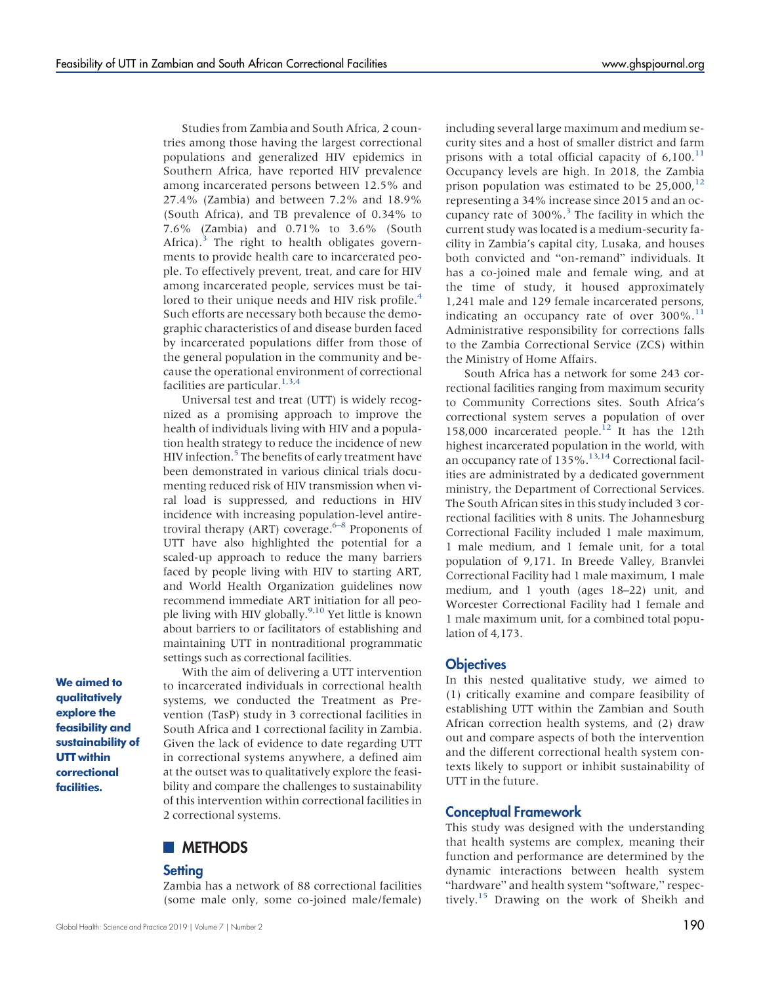Studies from Zambia and South Africa, 2 countries among those having the largest correctional populations and generalized HIV epidemics in Southern Africa, have reported HIV prevalence among incarcerated persons between 12.5% and 27.4% (Zambia) and between 7.2% and 18.9% (South Africa), and TB prevalence of 0.34% to 7.6% (Zambia) and 0.71% to 3.6% (South Africa). $3$  The right to health obligates governments to provide health care to incarcerated people. To effectively prevent, treat, and care for HIV among incarcerated people, services must be tai-lored to their unique needs and HIV risk profile.<sup>[4](#page-12-3)</sup> Such efforts are necessary both because the demographic characteristics of and disease burden faced by incarcerated populations differ from those of the general population in the community and because the operational environment of correctional facilities are particular.<sup>[1](#page-12-0)[,3,](#page-12-2)[4](#page-12-3)</sup>

Universal test and treat (UTT) is widely recognized as a promising approach to improve the health of individuals living with HIV and a population health strategy to reduce the incidence of new HIV infection.<sup>5</sup> The benefits of early treatment have been demonstrated in various clinical trials documenting reduced risk of HIV transmission when viral load is suppressed, and reductions in HIV incidence with increasing population-level antiretroviral therapy (ART) coverage. $6-8$  $6-8$  Proponents of UTT have also highlighted the potential for a scaled-up approach to reduce the many barriers faced by people living with HIV to starting ART, and World Health Organization guidelines now recommend immediate ART initiation for all peo-ple living with HIV globally.<sup>[9,](#page-12-7)[10](#page-12-8)</sup> Yet little is known about barriers to or facilitators of establishing and maintaining UTT in nontraditional programmatic settings such as correctional facilities.

We aimed to qualitatively explore the feasibility and sustainability of UTT within correctional facilities.

With the aim of delivering a UTT intervention to incarcerated individuals in correctional health systems, we conducted the Treatment as Prevention (TasP) study in 3 correctional facilities in South Africa and 1 correctional facility in Zambia. Given the lack of evidence to date regarding UTT in correctional systems anywhere, a defined aim at the outset was to qualitatively explore the feasibility and compare the challenges to sustainability of this intervention within correctional facilities in 2 correctional systems.



#### **Setting**

Zambia has a network of 88 correctional facilities (some male only, some co-joined male/female)

including several large maximum and medium security sites and a host of smaller district and farm prisons with a total official capacity of  $6,100$ .<sup>[11](#page-12-9)</sup> Occupancy levels are high. In 2018, the Zambia prison population was estimated to be  $25,000$ ,<sup>[12](#page-12-10)</sup> representing a 34% increase since 2015 and an occupancy rate of  $300\%$  $300\%$ .<sup>3</sup> The facility in which the current study was located is a medium-security facility in Zambia's capital city, Lusaka, and houses both convicted and "on-remand" individuals. It has a co-joined male and female wing, and at the time of study, it housed approximately 1,241 male and 129 female incarcerated persons, indicating an occupancy rate of over  $300\%$ .<sup>[11](#page-12-9)</sup> Administrative responsibility for corrections falls to the Zambia Correctional Service (ZCS) within the Ministry of Home Affairs.

South Africa has a network for some 243 correctional facilities ranging from maximum security to Community Corrections sites. South Africa's correctional system serves a population of over 158,000 incarcerated people.<sup>12</sup> It has the 12th highest incarcerated population in the world, with an occupancy rate of [13](#page-12-11)5%.<sup>13[,14](#page-12-12)</sup> Correctional facilities are administrated by a dedicated government ministry, the Department of Correctional Services. The South African sites in this study included 3 correctional facilities with 8 units. The Johannesburg Correctional Facility included 1 male maximum, 1 male medium, and 1 female unit, for a total population of 9,171. In Breede Valley, Branvlei Correctional Facility had 1 male maximum, 1 male medium, and 1 youth (ages 18–22) unit, and Worcester Correctional Facility had 1 female and 1 male maximum unit, for a combined total population of 4,173.

#### **Objectives**

In this nested qualitative study, we aimed to (1) critically examine and compare feasibility of establishing UTT within the Zambian and South African correction health systems, and (2) draw out and compare aspects of both the intervention and the different correctional health system contexts likely to support or inhibit sustainability of UTT in the future.

#### Conceptual Framework

This study was designed with the understanding that health systems are complex, meaning their function and performance are determined by the dynamic interactions between health system "hardware" and health system "software," respec-tively.<sup>[15](#page-12-13)</sup> Drawing on the work of Sheikh and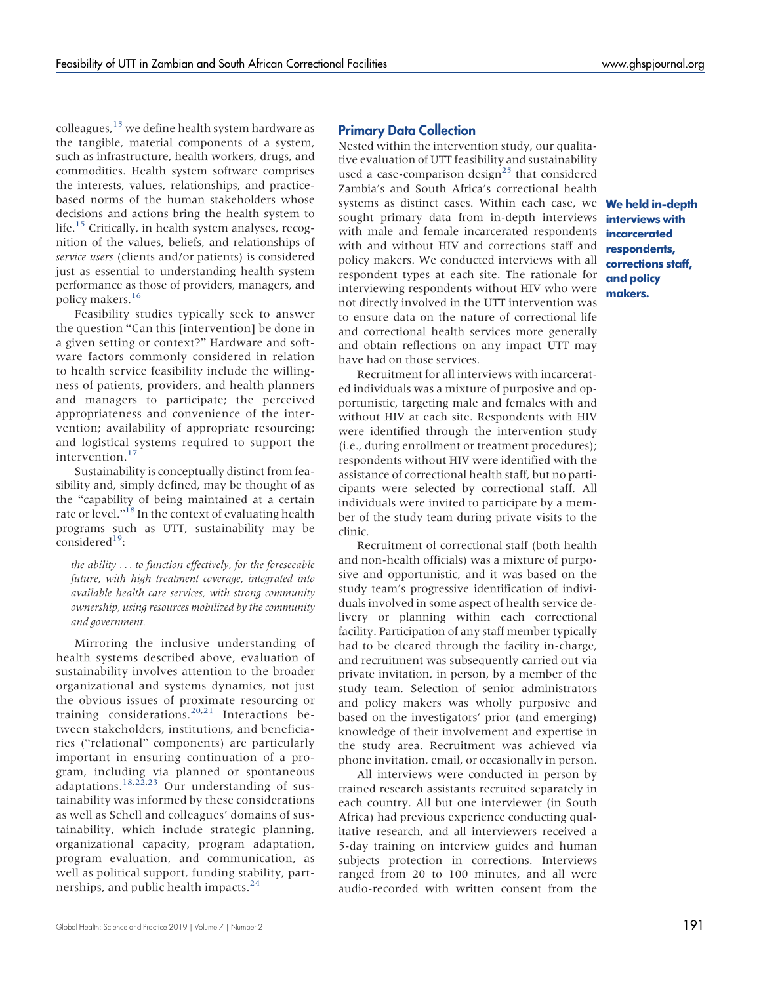colleagues,  $15$  we define health system hardware as the tangible, material components of a system, such as infrastructure, health workers, drugs, and commodities. Health system software comprises the interests, values, relationships, and practicebased norms of the human stakeholders whose decisions and actions bring the health system to life.<sup>[15](#page-12-13)</sup> Critically, in health system analyses, recognition of the values, beliefs, and relationships of service users (clients and/or patients) is considered just as essential to understanding health system performance as those of providers, managers, and policy makers.<sup>[16](#page-12-14)</sup>

Feasibility studies typically seek to answer the question "Can this [intervention] be done in a given setting or context?" Hardware and software factors commonly considered in relation to health service feasibility include the willingness of patients, providers, and health planners and managers to participate; the perceived appropriateness and convenience of the intervention; availability of appropriate resourcing; and logistical systems required to support the intervention.<sup>[17](#page-12-15)</sup>

Sustainability is conceptually distinct from feasibility and, simply defined, may be thought of as the "capability of being maintained at a certain rate or level."<sup>[18](#page-12-16)</sup> In the context of evaluating health programs such as UTT, sustainability may be  $considered<sup>19</sup>$  $considered<sup>19</sup>$  $considered<sup>19</sup>$ :

the ability ... to function effectively, for the foreseeable future, with high treatment coverage, integrated into available health care services, with strong community ownership, using resources mobilized by the community and government.

Mirroring the inclusive understanding of health systems described above, evaluation of sustainability involves attention to the broader organizational and systems dynamics, not just the obvious issues of proximate resourcing or training considerations.<sup>[20,](#page-13-0)[21](#page-13-1)</sup> Interactions between stakeholders, institutions, and beneficiaries ("relational" components) are particularly important in ensuring continuation of a program, including via planned or spontaneous adaptations.<sup>[18,](#page-12-16)[22](#page-13-2),[23](#page-13-3)</sup> Our understanding of sustainability was informed by these considerations as well as Schell and colleagues' domains of sustainability, which include strategic planning, organizational capacity, program adaptation, program evaluation, and communication, as well as political support, funding stability, part-nerships, and public health impacts.<sup>[24](#page-13-4)</sup>

### Primary Data Collection

Nested within the intervention study, our qualitative evaluation of UTT feasibility and sustainability used a case-comparison design<sup>[25](#page-13-5)</sup> that considered Zambia's and South Africa's correctional health systems as distinct cases. Within each case, we **We held in-depth** sought primary data from in-depth interviews with male and female incarcerated respondents with and without HIV and corrections staff and policy makers. We conducted interviews with all respondent types at each site. The rationale for interviewing respondents without HIV who were not directly involved in the UTT intervention was to ensure data on the nature of correctional life and correctional health services more generally and obtain reflections on any impact UTT may have had on those services.

Recruitment for all interviews with incarcerated individuals was a mixture of purposive and opportunistic, targeting male and females with and without HIV at each site. Respondents with HIV were identified through the intervention study (i.e., during enrollment or treatment procedures); respondents without HIV were identified with the assistance of correctional health staff, but no participants were selected by correctional staff. All individuals were invited to participate by a member of the study team during private visits to the clinic.

Recruitment of correctional staff (both health and non-health officials) was a mixture of purposive and opportunistic, and it was based on the study team's progressive identification of individuals involved in some aspect of health service delivery or planning within each correctional facility. Participation of any staff member typically had to be cleared through the facility in-charge, and recruitment was subsequently carried out via private invitation, in person, by a member of the study team. Selection of senior administrators and policy makers was wholly purposive and based on the investigators' prior (and emerging) knowledge of their involvement and expertise in the study area. Recruitment was achieved via phone invitation, email, or occasionally in person.

All interviews were conducted in person by trained research assistants recruited separately in each country. All but one interviewer (in South Africa) had previous experience conducting qualitative research, and all interviewers received a 5-day training on interview guides and human subjects protection in corrections. Interviews ranged from 20 to 100 minutes, and all were audio-recorded with written consent from the

interviews with incarcerated respondents, corrections staff, and policy makers.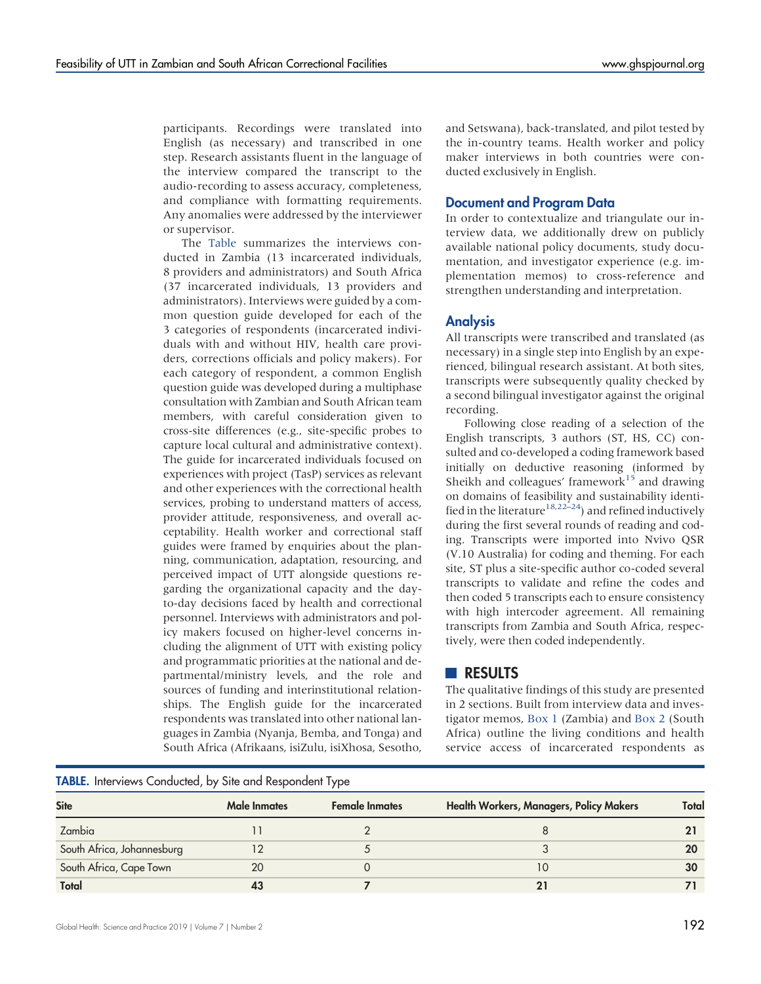participants. Recordings were translated into English (as necessary) and transcribed in one step. Research assistants fluent in the language of the interview compared the transcript to the audio-recording to assess accuracy, completeness, and compliance with formatting requirements. Any anomalies were addressed by the interviewer or supervisor.

The [Table](#page-3-0) summarizes the interviews conducted in Zambia (13 incarcerated individuals, 8 providers and administrators) and South Africa (37 incarcerated individuals, 13 providers and administrators). Interviews were guided by a common question guide developed for each of the 3 categories of respondents (incarcerated individuals with and without HIV, health care providers, corrections officials and policy makers). For each category of respondent, a common English question guide was developed during a multiphase consultation with Zambian and South African team members, with careful consideration given to cross-site differences (e.g., site-specific probes to capture local cultural and administrative context). The guide for incarcerated individuals focused on experiences with project (TasP) services as relevant and other experiences with the correctional health services, probing to understand matters of access, provider attitude, responsiveness, and overall acceptability. Health worker and correctional staff guides were framed by enquiries about the planning, communication, adaptation, resourcing, and perceived impact of UTT alongside questions regarding the organizational capacity and the dayto-day decisions faced by health and correctional personnel. Interviews with administrators and policy makers focused on higher-level concerns including the alignment of UTT with existing policy and programmatic priorities at the national and departmental/ministry levels, and the role and sources of funding and interinstitutional relationships. The English guide for the incarcerated respondents was translated into other national languages in Zambia (Nyanja, Bemba, and Tonga) and South Africa (Afrikaans, isiZulu, isiXhosa, Sesotho,

and Setswana), back-translated, and pilot tested by the in-country teams. Health worker and policy maker interviews in both countries were conducted exclusively in English.

# Document and Program Data

In order to contextualize and triangulate our interview data, we additionally drew on publicly available national policy documents, study documentation, and investigator experience (e.g. implementation memos) to cross-reference and strengthen understanding and interpretation.

# Analysis

All transcripts were transcribed and translated (as necessary) in a single step into English by an experienced, bilingual research assistant. At both sites, transcripts were subsequently quality checked by a second bilingual investigator against the original recording.

Following close reading of a selection of the English transcripts, 3 authors (ST, HS, CC) consulted and co-developed a coding framework based initially on deductive reasoning (informed by Sheikh and colleagues' framework<sup>15</sup> and drawing on domains of feasibility and sustainability identi-fied in the literature<sup>18[,22](#page-13-2)–[24](#page-13-4)</sup>) and refined inductively during the first several rounds of reading and coding. Transcripts were imported into Nvivo QSR (V.10 Australia) for coding and theming. For each site, ST plus a site-specific author co-coded several transcripts to validate and refine the codes and then coded 5 transcripts each to ensure consistency with high intercoder agreement. All remaining transcripts from Zambia and South Africa, respectively, were then coded independently.

# **RESULTS**

The qualitative findings of this study are presented in 2 sections. Built from interview data and investigator memos, [Box 1](#page-4-0) (Zambia) and [Box 2](#page-5-0) (South Africa) outline the living conditions and health service access of incarcerated respondents as

<span id="page-3-0"></span>

| <b>TABLE.</b> Interviews Conducted, by Site and Respondent Type |              |                       |                                         |       |
|-----------------------------------------------------------------|--------------|-----------------------|-----------------------------------------|-------|
| <b>Site</b>                                                     | Male Inmates | <b>Female Inmates</b> | Health Workers, Managers, Policy Makers | Total |
| Zambia                                                          |              |                       |                                         |       |
| South Africa, Johannesburg                                      |              |                       |                                         | 20    |
| South Africa, Cape Town                                         | 20           |                       | 10                                      | 30    |
| Total                                                           | 43           |                       |                                         |       |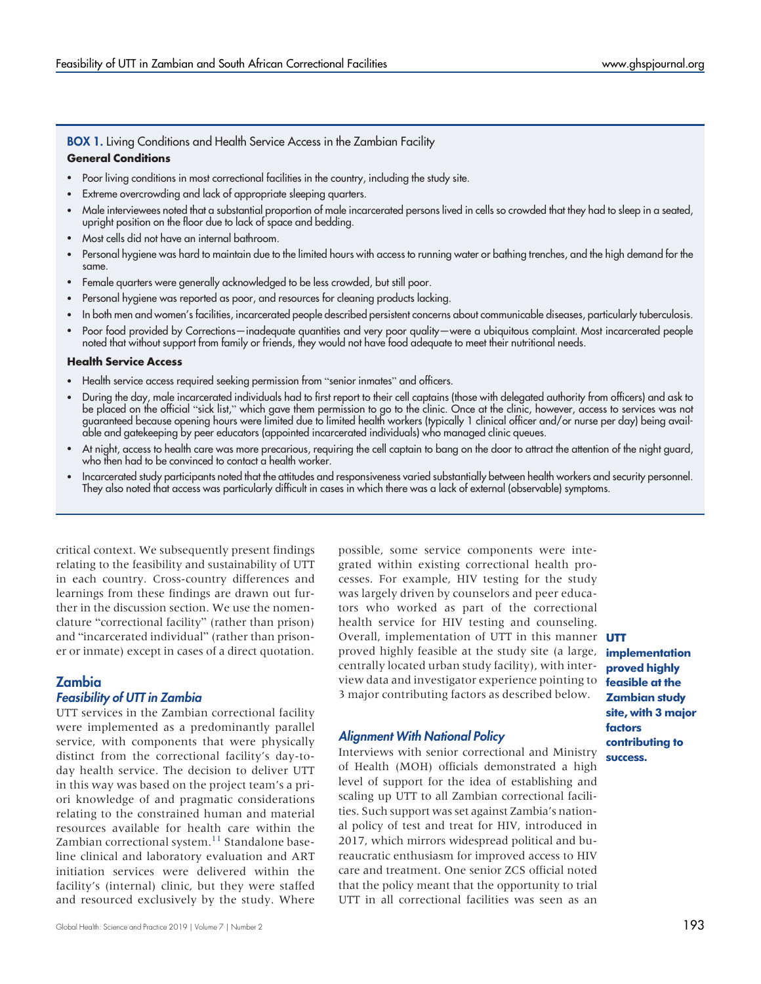# <span id="page-4-0"></span>**BOX 1.** Living Conditions and Health Service Access in the Zambian Facility

# General Conditions

- Poor living conditions in most correctional facilities in the country, including the study site.
- Extreme overcrowding and lack of appropriate sleeping quarters.
- Male interviewees noted that a substantial proportion of male incarcerated persons lived in cells so crowded that they had to sleep in a seated, upright position on the floor due to lack of space and bedding.
- Most cells did not have an internal bathroom.
- Personal hygiene was hard to maintain due to the limited hours with access to running water or bathing trenches, and the high demand for the same.
- Female quarters were generally acknowledged to be less crowded, but still poor.
- Personal hygiene was reported as poor, and resources for cleaning products lacking.
- In both men and women's facilities, incarcerated people described persistent concerns about communicable diseases, particularly tuberculosis.
- Poor food provided by Corrections—inadequate quantities and very poor quality—were a ubiquitous complaint. Most incarcerated people noted that without support from family or friends, they would not have food adequate to meet their nutritional needs.

#### Health Service Access

- Health service access required seeking permission from "senior inmates" and officers.
- During the day, male incarcerated individuals had to first report to their cell captains (those with delegated authority from officers) and ask to be placed on the official "sick list," which gave them permission to go to the clinic. Once at the clinic, however, access to services was not guaranteed because opening hours were limited due to limited health workers (typically 1 clinical officer and/or nurse per day) being available and gatekeeping by peer educators (appointed incarcerated individuals) who managed clinic queues.
- At night, access to health care was more precarious, requiring the cell captain to bang on the door to attract the attention of the night guard, who then had to be convinced to contact a health worker.
- Incarcerated study participants noted that the attitudes and responsiveness varied substantially between health workers and security personnel. They also noted that access was particularly difficult in cases in which there was a lack of external (observable) symptoms.

critical context. We subsequently present findings relating to the feasibility and sustainability of UTT in each country. Cross-country differences and learnings from these findings are drawn out further in the discussion section. We use the nomenclature "correctional facility" (rather than prison) and "incarcerated individual" (rather than prisoner or inmate) except in cases of a direct quotation.

# Zambia

# Feasibility of UTT in Zambia

UTT services in the Zambian correctional facility were implemented as a predominantly parallel service, with components that were physically distinct from the correctional facility's day-today health service. The decision to deliver UTT in this way was based on the project team's a priori knowledge of and pragmatic considerations relating to the constrained human and material resources available for health care within the Zambian correctional system.<sup>[11](#page-12-9)</sup> Standalone baseline clinical and laboratory evaluation and ART initiation services were delivered within the facility's (internal) clinic, but they were staffed and resourced exclusively by the study. Where

possible, some service components were integrated within existing correctional health processes. For example, HIV testing for the study was largely driven by counselors and peer educators who worked as part of the correctional health service for HIV testing and counseling. Overall, implementation of UTT in this manner UTT proved highly feasible at the study site (a large, centrally located urban study facility), with interview data and investigator experience pointing to 3 major contributing factors as described below.

# Alignment With National Policy

Interviews with senior correctional and Ministry of Health (MOH) officials demonstrated a high level of support for the idea of establishing and scaling up UTT to all Zambian correctional facilities. Such support was set against Zambia's national policy of test and treat for HIV, introduced in 2017, which mirrors widespread political and bureaucratic enthusiasm for improved access to HIV care and treatment. One senior ZCS official noted that the policy meant that the opportunity to trial UTT in all correctional facilities was seen as an

implementation proved highly feasible at the Zambian study site, with 3 major factors contributing to success.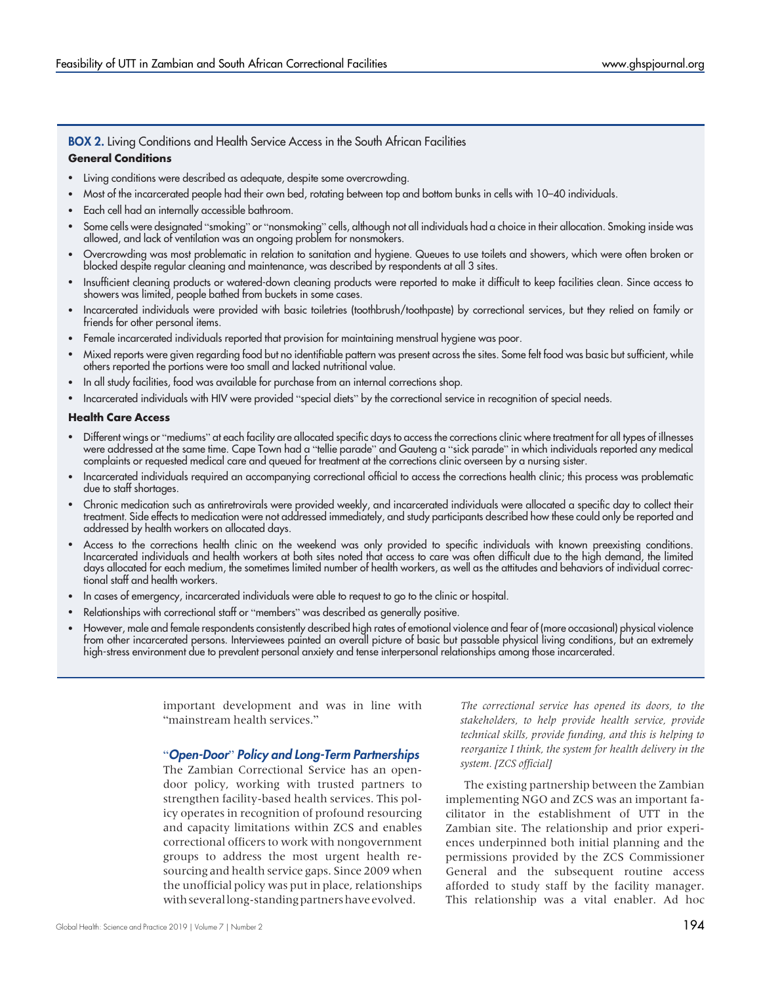#### <span id="page-5-0"></span>**BOX 2.** Living Conditions and Health Service Access in the South African Facilities

#### General Conditions

- Living conditions were described as adequate, despite some overcrowding.
- Most of the incarcerated people had their own bed, rotating between top and bottom bunks in cells with 10–40 individuals.
- Each cell had an internally accessible bathroom.
- Some cells were designated "smoking" or "nonsmoking" cells, although not all individuals had a choice in their allocation. Smoking inside was allowed, and lack of ventilation was an ongoing problem for nonsmokers.
- Overcrowding was most problematic in relation to sanitation and hygiene. Queues to use toilets and showers, which were often broken or blocked despite regular cleaning and maintenance, was described by respondents at all 3 sites.
- Insufficient cleaning products or watered-down cleaning products were reported to make it difficult to keep facilities clean. Since access to showers was limited, people bathed from buckets in some cases.
- Incarcerated individuals were provided with basic toiletries (toothbrush/toothpaste) by correctional services, but they relied on family or friends for other personal items.
- Female incarcerated individuals reported that provision for maintaining menstrual hygiene was poor.
- Mixed reports were given regarding food but no identifiable pattern was present across the sites. Some felt food was basic but sufficient, while others reported the portions were too small and lacked nutritional value.
- In all study facilities, food was available for purchase from an internal corrections shop.
- Incarcerated individuals with HIV were provided "special diets" by the correctional service in recognition of special needs.

#### Health Care Access

- Different wings or "mediums" at each facility are allocated specific days to access the corrections clinic where treatment for all types of illnesses were addressed at the same time. Cape Town had a "tellie parade" and Gauteng a "sick parade" in which individuals reported any medical complaints or requested medical care and queued for treatment at the corrections clinic overseen by a nursing sister.
- Incarcerated individuals required an accompanying correctional official to access the corrections health clinic; this process was problematic due to staff shortages.
- Chronic medication such as antiretrovirals were provided weekly, and incarcerated individuals were allocated a specific day to collect their treatment. Side effects to medication were not addressed immediately, and study participants described how these could only be reported and addressed by health workers on allocated days.
- Access to the corrections health clinic on the weekend was only provided to specific individuals with known preexisting conditions. Incarcerated individuals and health workers at both sites noted that access to care was often difficult due to the high demand, the limited days allocated for each medium, the sometimes limited number of health workers, as well as the attitudes and behaviors of individual correctional staff and health workers.
- In cases of emergency, incarcerated individuals were able to request to go to the clinic or hospital.
- Relationships with correctional staff or "members" was described as generally positive.
- However, male and female respondents consistently described high rates of emotional violence and fear of (more occasional) physical violence from other incarcerated persons. Interviewees painted an overall picture of basic but passable physical living conditions, but an extremely high-stress environment due to prevalent personal anxiety and tense interpersonal relationships among those incarcerated.

important development and was in line with "mainstream health services."

### "Open-Door" Policy and Long-Term Partnerships

The Zambian Correctional Service has an opendoor policy, working with trusted partners to strengthen facility-based health services. This policy operates in recognition of profound resourcing and capacity limitations within ZCS and enables correctional officers to work with nongovernment groups to address the most urgent health resourcing and health service gaps. Since 2009 when the unofficial policy was put in place, relationships with severallong-standing partners have evolved.

The correctional service has opened its doors, to the stakeholders, to help provide health service, provide technical skills, provide funding, and this is helping to reorganize I think, the system for health delivery in the system. [ZCS official]

The existing partnership between the Zambian implementing NGO and ZCS was an important facilitator in the establishment of UTT in the Zambian site. The relationship and prior experiences underpinned both initial planning and the permissions provided by the ZCS Commissioner General and the subsequent routine access afforded to study staff by the facility manager. This relationship was a vital enabler. Ad hoc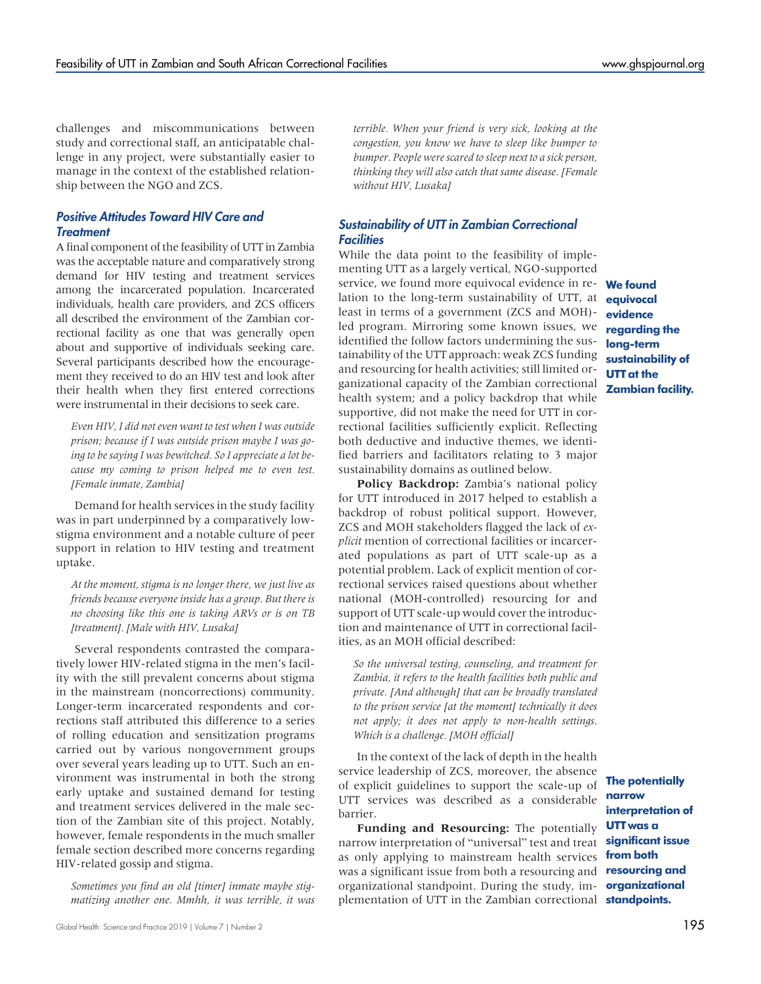challenges and miscommunications between study and correctional staff, an anticipatable challenge in any project, were substantially easier to manage in the context of the established relationship between the NGO and ZCS.

# Positive Attitudes Toward HIV Care and **Treatment**

A final component of the feasibility of UTT in Zambia was the acceptable nature and comparatively strong demand for HIV testing and treatment services among the incarcerated population. Incarcerated individuals, health care providers, and ZCS officers all described the environment of the Zambian correctional facility as one that was generally open about and supportive of individuals seeking care. Several participants described how the encouragement they received to do an HIV test and look after their health when they first entered corrections were instrumental in their decisions to seek care.

Even HIV, I did not even want to test when I was outside prison; because if I was outside prison maybe I was going to be saying I was bewitched. So I appreciate a lot because my coming to prison helped me to even test. [Female inmate, Zambia]

Demand for health services in the study facility was in part underpinned by a comparatively lowstigma environment and a notable culture of peer support in relation to HIV testing and treatment uptake.

At the moment, stigma is no longer there, we just live as friends because everyone inside has a group. But there is no choosing like this one is taking ARVs or is on TB [treatment]. [Male with HIV, Lusaka]

Several respondents contrasted the comparatively lower HIV-related stigma in the men's facility with the still prevalent concerns about stigma in the mainstream (noncorrections) community. Longer-term incarcerated respondents and corrections staff attributed this difference to a series of rolling education and sensitization programs carried out by various nongovernment groups over several years leading up to UTT. Such an environment was instrumental in both the strong early uptake and sustained demand for testing and treatment services delivered in the male section of the Zambian site of this project. Notably, however, female respondents in the much smaller female section described more concerns regarding HIV-related gossip and stigma.

Sometimes you find an old [timer] inmate maybe stigmatizing another one. Mmhh, it was terrible, it was terrible. When your friend is very sick, looking at the congestion, you know we have to sleep like bumper to bumper. People were scared to sleep next to a sick person, thinking they will also catch that same disease. [Female without HIV, Lusaka]

# Sustainability of UTT in Zambian Correctional **Facilities**

While the data point to the feasibility of implementing UTT as a largely vertical, NGO-supported service, we found more equivocal evidence in relation to the long-term sustainability of UTT, at equivocal least in terms of a government (ZCS and MOH) led program. Mirroring some known issues, we identified the follow factors undermining the sustainability of the UTT approach: weak ZCS funding and resourcing for health activities; still limited organizational capacity of the Zambian correctional health system; and a policy backdrop that while supportive, did not make the need for UTT in correctional facilities sufficiently explicit. Reflecting both deductive and inductive themes, we identified barriers and facilitators relating to 3 major sustainability domains as outlined below.

Policy Backdrop: Zambia's national policy for UTT introduced in 2017 helped to establish a backdrop of robust political support. However, ZCS and MOH stakeholders flagged the lack of explicit mention of correctional facilities or incarcerated populations as part of UTT scale-up as a potential problem. Lack of explicit mention of correctional services raised questions about whether national (MOH-controlled) resourcing for and support of UTT scale-up would cover the introduction and maintenance of UTT in correctional facilities, as an MOH official described:

So the universal testing, counseling, and treatment for Zambia, it refers to the health facilities both public and private. [And although] that can be broadly translated to the prison service [at the moment] technically it does not apply; it does not apply to non-health settings. Which is a challenge. [MOH official]

In the context of the lack of depth in the health service leadership of ZCS, moreover, the absence of explicit guidelines to support the scale-up of UTT services was described as a considerable barrier.

Funding and Resourcing: The potentially narrow interpretation of "universal" test and treat as only applying to mainstream health services was a significant issue from both a resourcing and **resourcing and** organizational standpoint. During the study, implementation of UTT in the Zambian correctional standpoints.

We found evidence regarding the long-term sustainability of UTT at the Zambian facility.

The potentially narrow interpretation of UTTwas a significant issue from both organizational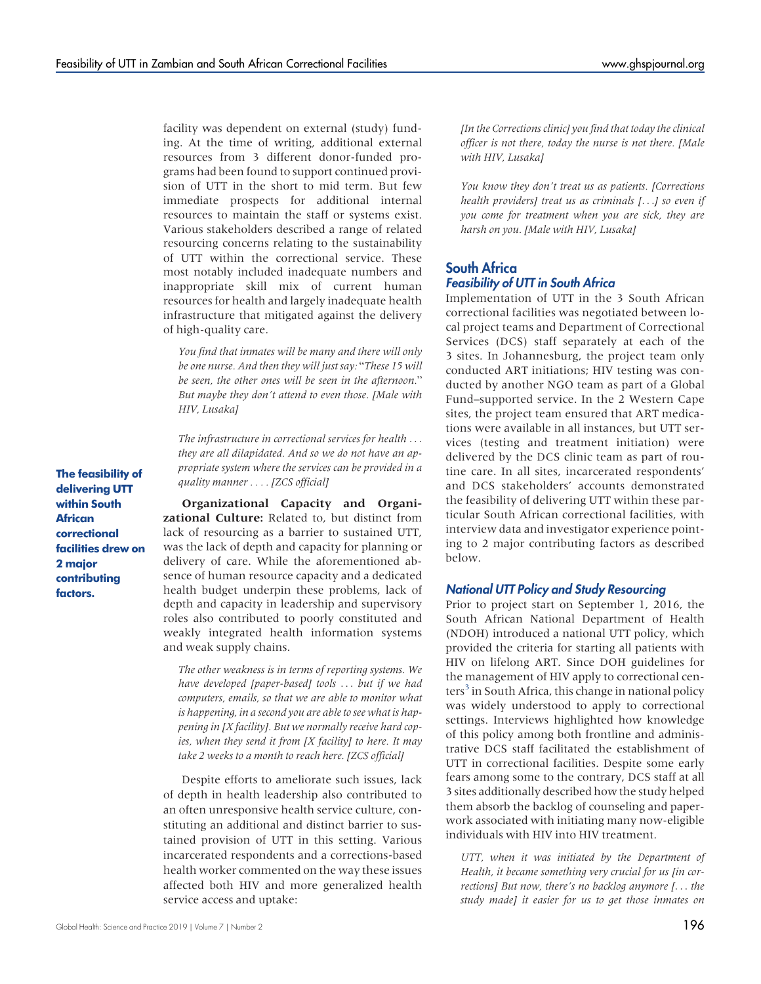facility was dependent on external (study) funding. At the time of writing, additional external resources from 3 different donor-funded programs had been found to support continued provision of UTT in the short to mid term. But few immediate prospects for additional internal resources to maintain the staff or systems exist. Various stakeholders described a range of related resourcing concerns relating to the sustainability of UTT within the correctional service. These most notably included inadequate numbers and inappropriate skill mix of current human resources for health and largely inadequate health infrastructure that mitigated against the delivery of high-quality care.

You find that inmates will be many and there will only be one nurse. And then they will just say: "These 15 will be seen, the other ones will be seen in the afternoon." But maybe they don't attend to even those. [Male with HIV, Lusaka]

The infrastructure in correctional services for health ... they are all dilapidated. And so we do not have an appropriate system where the services can be provided in a quality manner . . . . [ZCS official]

Organizational Capacity and Organizational Culture: Related to, but distinct from lack of resourcing as a barrier to sustained UTT, was the lack of depth and capacity for planning or delivery of care. While the aforementioned absence of human resource capacity and a dedicated health budget underpin these problems, lack of depth and capacity in leadership and supervisory roles also contributed to poorly constituted and weakly integrated health information systems and weak supply chains.

The other weakness is in terms of reporting systems. We have developed [paper-based] tools ... but if we had computers, emails, so that we are able to monitor what is happening, in a second you are able to see what is happening in [X facility]. But we normally receive hard copies, when they send it from [X facility] to here. It may take 2 weeks to a month to reach here. [ZCS official]

Despite efforts to ameliorate such issues, lack of depth in health leadership also contributed to an often unresponsive health service culture, constituting an additional and distinct barrier to sustained provision of UTT in this setting. Various incarcerated respondents and a corrections-based health worker commented on the way these issues affected both HIV and more generalized health service access and uptake:

[In the Corrections clinic] you find that today the clinical officer is not there, today the nurse is not there. [Male with HIV, Lusaka]

You know they don't treat us as patients. [Corrections health providers] treat us as criminals  $[...]$  so even if you come for treatment when you are sick, they are harsh on you. [Male with HIV, Lusaka]

## South Africa Feasibility of UTT in South Africa

Implementation of UTT in the 3 South African correctional facilities was negotiated between local project teams and Department of Correctional Services (DCS) staff separately at each of the 3 sites. In Johannesburg, the project team only conducted ART initiations; HIV testing was conducted by another NGO team as part of a Global Fund–supported service. In the 2 Western Cape sites, the project team ensured that ART medications were available in all instances, but UTT services (testing and treatment initiation) were delivered by the DCS clinic team as part of routine care. In all sites, incarcerated respondents' and DCS stakeholders' accounts demonstrated the feasibility of delivering UTT within these particular South African correctional facilities, with interview data and investigator experience pointing to 2 major contributing factors as described below.

#### National UTT Policy and Study Resourcing

Prior to project start on September 1, 2016, the South African National Department of Health (NDOH) introduced a national UTT policy, which provided the criteria for starting all patients with HIV on lifelong ART. Since DOH guidelines for the management of HIV apply to correctional cen-ters<sup>[3](#page-12-2)</sup> in South Africa, this change in national policy was widely understood to apply to correctional settings. Interviews highlighted how knowledge of this policy among both frontline and administrative DCS staff facilitated the establishment of UTT in correctional facilities. Despite some early fears among some to the contrary, DCS staff at all 3 sites additionally described how the study helped them absorb the backlog of counseling and paperwork associated with initiating many now-eligible individuals with HIV into HIV treatment.

UTT, when it was initiated by the Department of Health, it became something very crucial for us [in corrections] But now, there's no backlog anymore [... the study made] it easier for us to get those inmates on

The feasibility of delivering UTT within South **African** correctional facilities drew on 2 major contributing factors.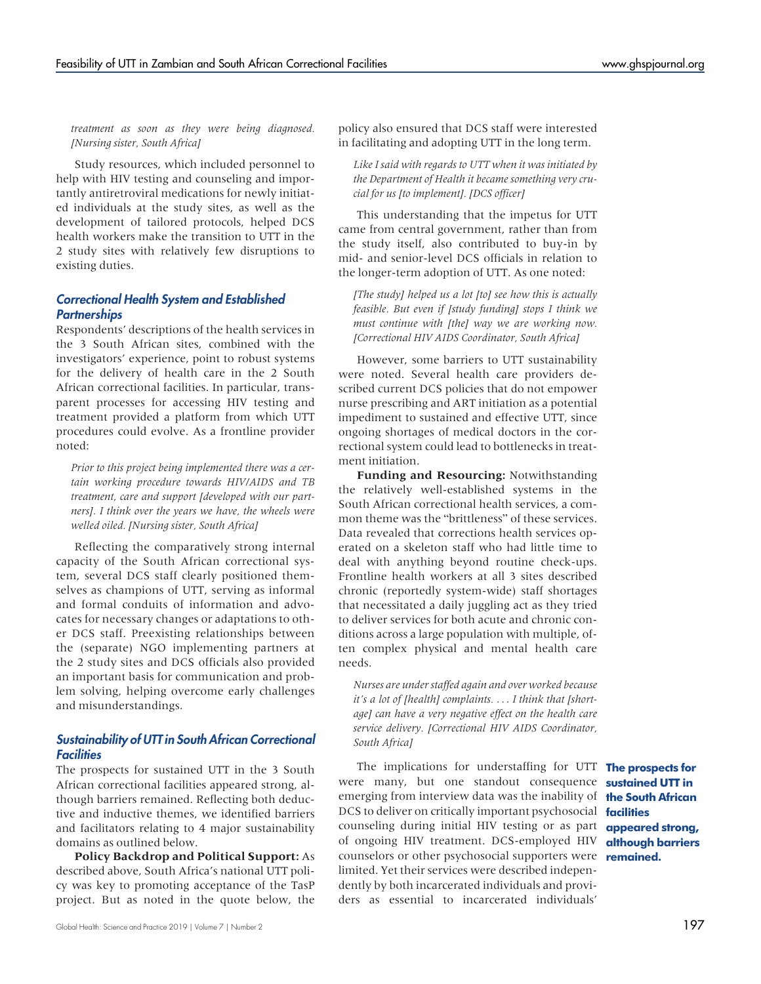treatment as soon as they were being diagnosed. [Nursing sister, South Africa]

Study resources, which included personnel to help with HIV testing and counseling and importantly antiretroviral medications for newly initiated individuals at the study sites, as well as the development of tailored protocols, helped DCS health workers make the transition to UTT in the 2 study sites with relatively few disruptions to existing duties.

### Correctional Health System and Established **Partnerships**

Respondents' descriptions of the health services in the 3 South African sites, combined with the investigators' experience, point to robust systems for the delivery of health care in the 2 South African correctional facilities. In particular, transparent processes for accessing HIV testing and treatment provided a platform from which UTT procedures could evolve. As a frontline provider noted:

Prior to this project being implemented there was a certain working procedure towards HIV/AIDS and TB treatment, care and support [developed with our partners]. I think over the years we have, the wheels were welled oiled. [Nursing sister, South Africa]

Reflecting the comparatively strong internal capacity of the South African correctional system, several DCS staff clearly positioned themselves as champions of UTT, serving as informal and formal conduits of information and advocates for necessary changes or adaptations to other DCS staff. Preexisting relationships between the (separate) NGO implementing partners at the 2 study sites and DCS officials also provided an important basis for communication and problem solving, helping overcome early challenges and misunderstandings.

#### Sustainability of UTT in South African Correctional **Facilities**

The prospects for sustained UTT in the 3 South African correctional facilities appeared strong, although barriers remained. Reflecting both deductive and inductive themes, we identified barriers and facilitators relating to 4 major sustainability domains as outlined below.

Policy Backdrop and Political Support: As described above, South Africa's national UTT policy was key to promoting acceptance of the TasP project. But as noted in the quote below, the policy also ensured that DCS staff were interested in facilitating and adopting UTT in the long term.

Like I said with regards to UTT when it was initiated by the Department of Health it became something very crucial for us [to implement]. [DCS officer]

This understanding that the impetus for UTT came from central government, rather than from the study itself, also contributed to buy-in by mid- and senior-level DCS officials in relation to the longer-term adoption of UTT. As one noted:

[The study] helped us a lot [to] see how this is actually feasible. But even if [study funding] stops I think we must continue with [the] way we are working now. [Correctional HIV AIDS Coordinator, South Africa]

However, some barriers to UTT sustainability were noted. Several health care providers described current DCS policies that do not empower nurse prescribing and ART initiation as a potential impediment to sustained and effective UTT, since ongoing shortages of medical doctors in the correctional system could lead to bottlenecks in treatment initiation.

Funding and Resourcing: Notwithstanding the relatively well-established systems in the South African correctional health services, a common theme was the "brittleness" of these services. Data revealed that corrections health services operated on a skeleton staff who had little time to deal with anything beyond routine check-ups. Frontline health workers at all 3 sites described chronic (reportedly system-wide) staff shortages that necessitated a daily juggling act as they tried to deliver services for both acute and chronic conditions across a large population with multiple, often complex physical and mental health care needs.

Nurses are under staffed again and over worked because it's a lot of [health] complaints. . . . I think that [shortage] can have a very negative effect on the health care service delivery. [Correctional HIV AIDS Coordinator, South Africa]

The implications for understaffing for UTT **The prospects for** were many, but one standout consequence **sustained UTT in** emerging from interview data was the inability of **the South African** DCS to deliver on critically important psychosocial counseling during initial HIV testing or as part of ongoing HIV treatment. DCS-employed HIV counselors or other psychosocial supporters were remained. limited. Yet their services were described independently by both incarcerated individuals and providers as essential to incarcerated individuals'

facilities appeared strong, although barriers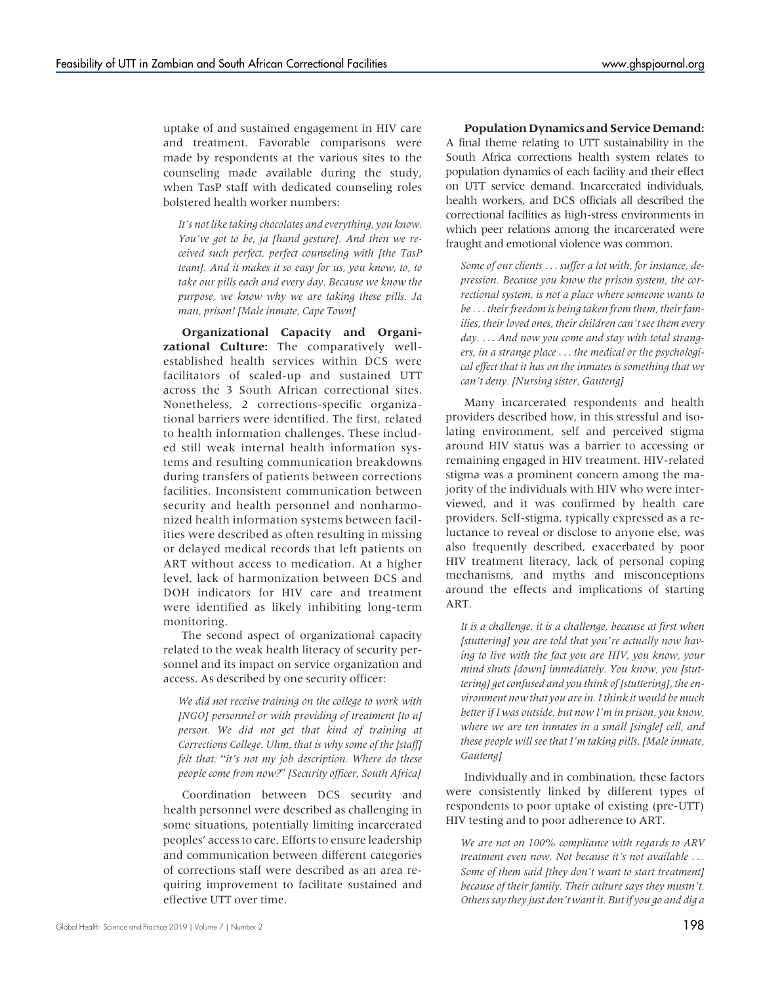uptake of and sustained engagement in HIV care and treatment. Favorable comparisons were made by respondents at the various sites to the counseling made available during the study, when TasP staff with dedicated counseling roles bolstered health worker numbers:

It's not like taking chocolates and everything, you know. You've got to be, ja [hand gesture]. And then we received such perfect, perfect counseling with [the TasP team]. And it makes it so easy for us, you know, to, to take our pills each and every day. Because we know the purpose, we know why we are taking these pills. Ja man, prison! [Male inmate, Cape Town]

Organizational Capacity and Organizational Culture: The comparatively wellestablished health services within DCS were facilitators of scaled-up and sustained UTT across the 3 South African correctional sites. Nonetheless, 2 corrections-specific organizational barriers were identified. The first, related to health information challenges. These included still weak internal health information systems and resulting communication breakdowns during transfers of patients between corrections facilities. Inconsistent communication between security and health personnel and nonharmonized health information systems between facilities were described as often resulting in missing or delayed medical records that left patients on ART without access to medication. At a higher level, lack of harmonization between DCS and DOH indicators for HIV care and treatment were identified as likely inhibiting long-term monitoring.

The second aspect of organizational capacity related to the weak health literacy of security personnel and its impact on service organization and access. As described by one security officer:

We did not receive training on the college to work with [NGO] personnel or with providing of treatment [to a] person. We did not get that kind of training at Corrections College. Uhm, that is why some of the [staff] felt that: "it's not my job description. Where do these people come from now?" [Security officer, South Africa]

Coordination between DCS security and health personnel were described as challenging in some situations, potentially limiting incarcerated peoples' access to care. Efforts to ensure leadership and communication between different categories of corrections staff were described as an area requiring improvement to facilitate sustained and effective UTT over time.

Population Dynamics and Service Demand: A final theme relating to UTT sustainability in the South Africa corrections health system relates to population dynamics of each facility and their effect on UTT service demand. Incarcerated individuals, health workers, and DCS officials all described the correctional facilities as high-stress environments in which peer relations among the incarcerated were fraught and emotional violence was common.

Some of our clients ... suffer a lot with, for instance, depression. Because you know the prison system, the correctional system, is not a place where someone wants to be... their freedom is being taken from them, their families, their loved ones, their children can't see them every day. ... And now you come and stay with total strangers, in a strange place ... the medical or the psychological effect that it has on the inmates is something that we can't deny. [Nursing sister, Gauteng]

Many incarcerated respondents and health providers described how, in this stressful and isolating environment, self and perceived stigma around HIV status was a barrier to accessing or remaining engaged in HIV treatment. HIV-related stigma was a prominent concern among the majority of the individuals with HIV who were interviewed, and it was confirmed by health care providers. Self-stigma, typically expressed as a reluctance to reveal or disclose to anyone else, was also frequently described, exacerbated by poor HIV treatment literacy, lack of personal coping mechanisms, and myths and misconceptions around the effects and implications of starting ART.

It is a challenge, it is a challenge, because at first when [stuttering] you are told that you're actually now having to live with the fact you are HIV, you know, your mind shuts [down] immediately. You know, you [stuttering] get confused and you think of [stuttering], the environment now that you are in. I think it would be much better if I was outside, but now I'm in prison, you know, where we are ten inmates in a small [single] cell, and these people will see that I'm taking pills. [Male inmate, Gauteng]

Individually and in combination, these factors were consistently linked by different types of respondents to poor uptake of existing (pre-UTT) HIV testing and to poor adherence to ART.

We are not on 100% compliance with regards to ARV treatment even now. Not because it's not available ... Some of them said [they don't want to start treatment] because of their family. Their culture says they mustn't. Others say they just don't want it. But if you go and dig a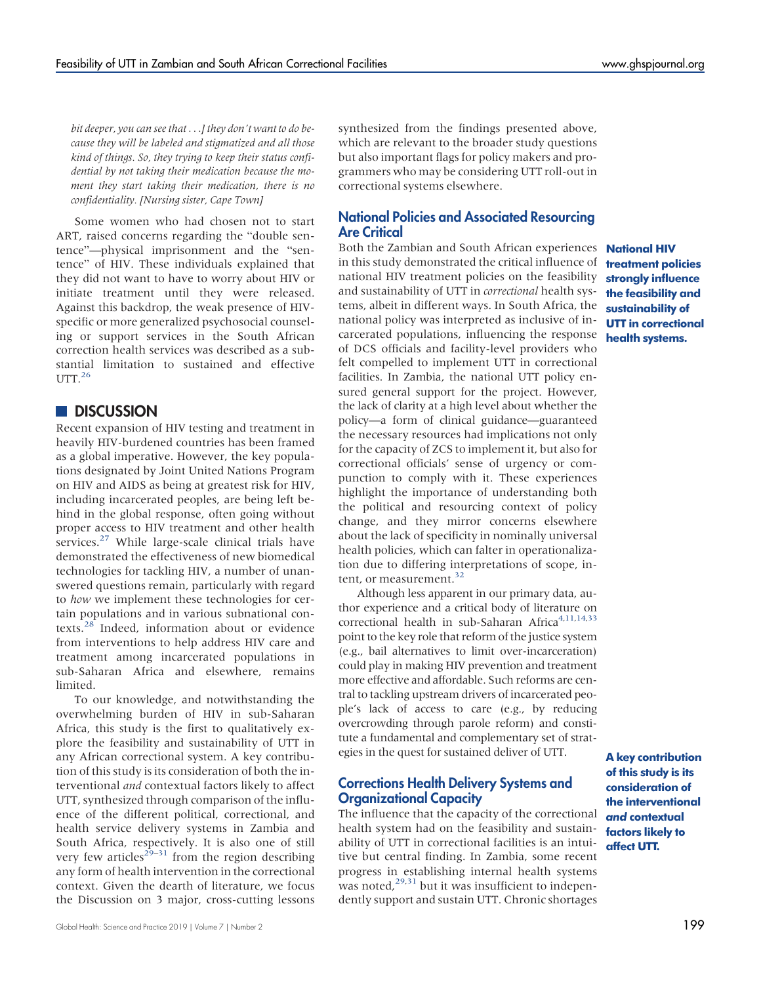bit deeper, you can see that ...] they don't want to do because they will be labeled and stigmatized and all those kind of things. So, they trying to keep their status confidential by not taking their medication because the moment they start taking their medication, there is no confidentiality. [Nursing sister, Cape Town]

Some women who had chosen not to start ART, raised concerns regarding the "double sentence"—physical imprisonment and the "sentence" of HIV. These individuals explained that they did not want to have to worry about HIV or initiate treatment until they were released. Against this backdrop, the weak presence of HIVspecific or more generalized psychosocial counseling or support services in the South African correction health services was described as a substantial limitation to sustained and effective  $I$ ITT $.$ <sup>[26](#page-13-6)</sup>

# **DISCUSSION**

Recent expansion of HIV testing and treatment in heavily HIV-burdened countries has been framed as a global imperative. However, the key populations designated by Joint United Nations Program on HIV and AIDS as being at greatest risk for HIV, including incarcerated peoples, are being left behind in the global response, often going without proper access to HIV treatment and other health services. $27$  While large-scale clinical trials have demonstrated the effectiveness of new biomedical technologies for tackling HIV, a number of unanswered questions remain, particularly with regard to how we implement these technologies for certain populations and in various subnational contexts.[28](#page-13-8) Indeed, information about or evidence from interventions to help address HIV care and treatment among incarcerated populations in sub-Saharan Africa and elsewhere, remains limited.

To our knowledge, and notwithstanding the overwhelming burden of HIV in sub-Saharan Africa, this study is the first to qualitatively explore the feasibility and sustainability of UTT in any African correctional system. A key contribution of this study is its consideration of both the interventional and contextual factors likely to affect UTT, synthesized through comparison of the influence of the different political, correctional, and health service delivery systems in Zambia and South Africa, respectively. It is also one of still very few articles<sup>29–[31](#page-13-10)</sup> from the region describing any form of health intervention in the correctional context. Given the dearth of literature, we focus the Discussion on 3 major, cross-cutting lessons synthesized from the findings presented above, which are relevant to the broader study questions but also important flags for policy makers and programmers who may be considering UTT roll-out in correctional systems elsewhere.

# National Policies and Associated Resourcing Are Critical

Both the Zambian and South African experiences **National HIV** in this study demonstrated the critical influence of national HIV treatment policies on the feasibility and sustainability of UTT in correctional health systems, albeit in different ways. In South Africa, the national policy was interpreted as inclusive of incarcerated populations, influencing the response of DCS officials and facility-level providers who felt compelled to implement UTT in correctional facilities. In Zambia, the national UTT policy ensured general support for the project. However, the lack of clarity at a high level about whether the policy—a form of clinical guidance—guaranteed the necessary resources had implications not only for the capacity of ZCS to implement it, but also for correctional officials' sense of urgency or compunction to comply with it. These experiences highlight the importance of understanding both the political and resourcing context of policy change, and they mirror concerns elsewhere about the lack of specificity in nominally universal health policies, which can falter in operationalization due to differing interpretations of scope, in-tent, or measurement.<sup>[32](#page-13-11)</sup>

Although less apparent in our primary data, author experience and a critical body of literature on correctional health in sub-Saharan Africa<sup>4[,11](#page-12-9)[,14](#page-12-12)[,33](#page-13-12)</sup> point to the key role that reform of the justice system (e.g., bail alternatives to limit over-incarceration) could play in making HIV prevention and treatment more effective and affordable. Such reforms are central to tackling upstream drivers of incarcerated people's lack of access to care (e.g., by reducing overcrowding through parole reform) and constitute a fundamental and complementary set of strategies in the quest for sustained deliver of UTT.

# Corrections Health Delivery Systems and Organizational Capacity

The influence that the capacity of the correctional health system had on the feasibility and sustainability of UTT in correctional facilities is an intuitive but central finding. In Zambia, some recent progress in establishing internal health systems was noted, $29,31$  $29,31$  but it was insufficient to independently support and sustain UTT. Chronic shortages

treatment policies strongly influence the feasibility and sustainability of UTT in correctional health systems.

A key contribution of this study is its consideration of the interventional and contextual factors likely to affect UTT.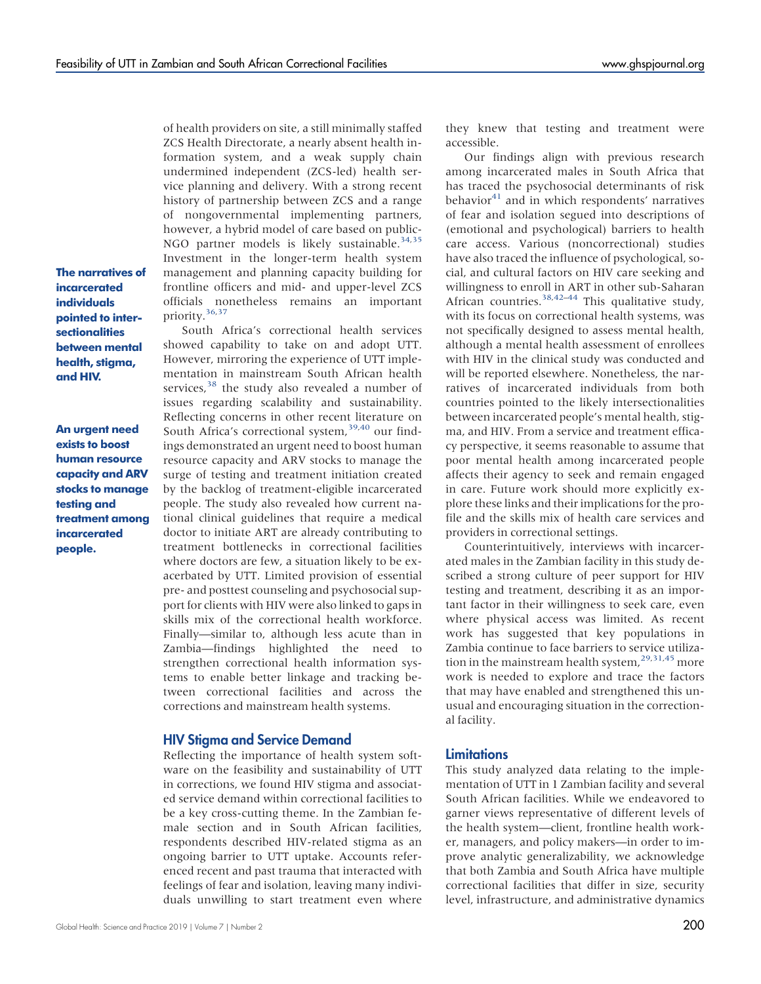The narratives of incarcerated individuals pointed to inter**sectionalities** between mental health, stigma, and HIV.

An urgent need exists to boost human resource capacity and ARV stocks to manage testing and treatment among incarcerated people.

of health providers on site, a still minimally staffed ZCS Health Directorate, a nearly absent health information system, and a weak supply chain undermined independent (ZCS-led) health service planning and delivery. With a strong recent history of partnership between ZCS and a range of nongovernmental implementing partners, however, a hybrid model of care based on public-NGO partner models is likely sustainable.<sup>[34,](#page-13-13)[35](#page-13-14)</sup> Investment in the longer-term health system management and planning capacity building for frontline officers and mid- and upper-level ZCS officials nonetheless remains an important priority[.36](#page-13-15)[,37](#page-13-16)

South Africa's correctional health services showed capability to take on and adopt UTT. However, mirroring the experience of UTT implementation in mainstream South African health services,<sup>[38](#page-13-17)</sup> the study also revealed a number of issues regarding scalability and sustainability. Reflecting concerns in other recent literature on South Africa's correctional system,<sup>[39,](#page-13-18)[40](#page-13-19)</sup> our findings demonstrated an urgent need to boost human resource capacity and ARV stocks to manage the surge of testing and treatment initiation created by the backlog of treatment-eligible incarcerated people. The study also revealed how current national clinical guidelines that require a medical doctor to initiate ART are already contributing to treatment bottlenecks in correctional facilities where doctors are few, a situation likely to be exacerbated by UTT. Limited provision of essential pre- and posttest counseling and psychosocial support for clients with HIV were also linked to gaps in skills mix of the correctional health workforce. Finally—similar to, although less acute than in Zambia—findings highlighted the need to strengthen correctional health information systems to enable better linkage and tracking between correctional facilities and across the corrections and mainstream health systems.

#### HIV Stigma and Service Demand

Reflecting the importance of health system software on the feasibility and sustainability of UTT in corrections, we found HIV stigma and associated service demand within correctional facilities to be a key cross-cutting theme. In the Zambian female section and in South African facilities, respondents described HIV-related stigma as an ongoing barrier to UTT uptake. Accounts referenced recent and past trauma that interacted with feelings of fear and isolation, leaving many individuals unwilling to start treatment even where they knew that testing and treatment were accessible.

Our findings align with previous research among incarcerated males in South Africa that has traced the psychosocial determinants of risk behavior<sup>[41](#page-13-20)</sup> and in which respondents' narratives of fear and isolation segued into descriptions of (emotional and psychological) barriers to health care access. Various (noncorrectional) studies have also traced the influence of psychological, social, and cultural factors on HIV care seeking and willingness to enroll in ART in other sub-Saharan African countries.<sup>38,[42](#page-13-21)–[44](#page-13-22)</sup> This qualitative study, with its focus on correctional health systems, was not specifically designed to assess mental health, although a mental health assessment of enrollees with HIV in the clinical study was conducted and will be reported elsewhere. Nonetheless, the narratives of incarcerated individuals from both countries pointed to the likely intersectionalities between incarcerated people's mental health, stigma, and HIV. From a service and treatment efficacy perspective, it seems reasonable to assume that poor mental health among incarcerated people affects their agency to seek and remain engaged in care. Future work should more explicitly explore these links and their implications for the profile and the skills mix of health care services and providers in correctional settings.

Counterintuitively, interviews with incarcerated males in the Zambian facility in this study described a strong culture of peer support for HIV testing and treatment, describing it as an important factor in their willingness to seek care, even where physical access was limited. As recent work has suggested that key populations in Zambia continue to face barriers to service utilization in the mainstream health system,  $29,31,45$  $29,31,45$  $29,31,45$  more work is needed to explore and trace the factors that may have enabled and strengthened this unusual and encouraging situation in the correctional facility.

#### **Limitations**

This study analyzed data relating to the implementation of UTT in 1 Zambian facility and several South African facilities. While we endeavored to garner views representative of different levels of the health system—client, frontline health worker, managers, and policy makers—in order to improve analytic generalizability, we acknowledge that both Zambia and South Africa have multiple correctional facilities that differ in size, security level, infrastructure, and administrative dynamics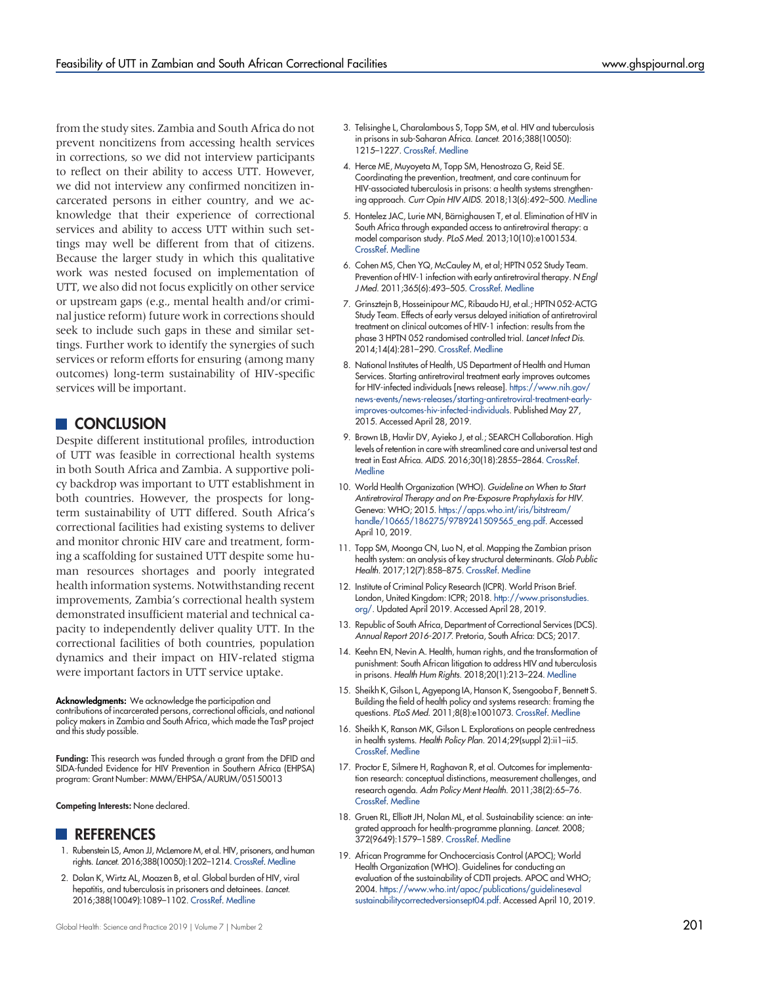from the study sites. Zambia and South Africa do not prevent noncitizens from accessing health services in corrections, so we did not interview participants to reflect on their ability to access UTT. However, we did not interview any confirmed noncitizen incarcerated persons in either country, and we acknowledge that their experience of correctional services and ability to access UTT within such settings may well be different from that of citizens. Because the larger study in which this qualitative work was nested focused on implementation of UTT, we also did not focus explicitly on other service or upstream gaps (e.g., mental health and/or criminal justice reform) future work in corrections should seek to include such gaps in these and similar settings. Further work to identify the synergies of such services or reform efforts for ensuring (among many outcomes) long-term sustainability of HIV-specific services will be important.

# **CONCLUSION**

Despite different institutional profiles, introduction of UTT was feasible in correctional health systems in both South Africa and Zambia. A supportive policy backdrop was important to UTT establishment in both countries. However, the prospects for longterm sustainability of UTT differed. South Africa's correctional facilities had existing systems to deliver and monitor chronic HIV care and treatment, forming a scaffolding for sustained UTT despite some human resources shortages and poorly integrated health information systems. Notwithstanding recent improvements, Zambia's correctional health system demonstrated insufficient material and technical capacity to independently deliver quality UTT. In the correctional facilities of both countries, population dynamics and their impact on HIV-related stigma were important factors in UTT service uptake.

Acknowledgments: We acknowledge the participation and contributions of incarcerated persons, correctional officials, and national policy makers in Zambia and South Africa, which made the TasP project and this study possible.

**Funding:** This research was funded through a grant from the DFID and SIDA-funded Evidence for HIV Prevention in Southern Africa (EHPSA) program: Grant Number: MMM/EHPSA/AURUM/05150013

Competing Interests: None declared.

# **REFERENCES**

- <span id="page-12-0"></span>1. Rubenstein LS, Amon JJ, McLemore M, et al. HIV, prisoners, and human rights. Lancet. 2016;388(10050):1202–1214. [CrossRef](https://doi.org/10.1016/S0140-6736(16)30663-8). [Medline](http://www.ncbi.nlm.nih.gov/pubmed/27427457)
- <span id="page-12-1"></span>2. Dolan K, Wirtz AL, Moazen B, et al. Global burden of HIV, viral hepatitis, and tuberculosis in prisoners and detainees. Lancet. 2016;388(10049):1089–1102. [CrossRef](https://doi.org/10.1016/S0140-6736(16)30466-4). [Medline](http://www.ncbi.nlm.nih.gov/pubmed/27427453)
- <span id="page-12-2"></span>3. Telisinghe L, Charalambous S, Topp SM, et al. HIV and tuberculosis in prisons in sub-Saharan Africa. Lancet. 2016;388(10050): 1215–1227. [CrossRef.](https://doi.org/10.1016/S0140-6736(16)30578-5) [Medline](http://www.ncbi.nlm.nih.gov/pubmed/27427448)
- <span id="page-12-3"></span>4. Herce ME, Muyoyeta M, Topp SM, Henostroza G, Reid SE. Coordinating the prevention, treatment, and care continuum for HIV-associated tuberculosis in prisons: a health systems strengthening approach. Curr Opin HIV AIDS. 2018;13(6):492–500. [Medline](http://www.ncbi.nlm.nih.gov/pubmed/30222608)
- <span id="page-12-4"></span>5. Hontelez JAC, Lurie MN, Bärnighausen T, et al. Elimination of HIV in South Africa through expanded access to antiretroviral therapy: a model comparison study. PLoS Med. 2013;10(10):e1001534. [CrossRef.](https://doi.org/10.1371/journal.pmed.1001534) [Medline](http://www.ncbi.nlm.nih.gov/pubmed/24167449)
- <span id="page-12-5"></span>6. Cohen MS, Chen YQ, McCauley M, et al; HPTN 052 Study Team. Prevention of HIV-1 infection with early antiretroviral therapy. N Engl J Med. 2011;365(6):493–505. [CrossRef.](https://doi.org/10.1056/NEJMoa1105243) [Medline](http://www.ncbi.nlm.nih.gov/pubmed/21767103)
- 7. Grinsztejn B, Hosseinipour MC, Ribaudo HJ, et al.; HPTN 052-ACTG Study Team. Effects of early versus delayed initiation of antiretroviral treatment on clinical outcomes of HIV-1 infection: results from the phase 3 HPTN 052 randomised controlled trial. Lancet Infect Dis. 2014;14(4):281–290. [CrossRef.](https://doi.org/10.1016/S1473-3099(13)70692-3) [Medline](http://www.ncbi.nlm.nih.gov/pubmed/24602844)
- <span id="page-12-6"></span>8. National Institutes of Health, US Department of Health and Human Services. Starting antiretroviral treatment early improves outcomes for HIV-infected individuals [news release]. [https://www.nih.gov/](https://www.nih.gov/news-events/news-releases/starting-antiretroviral-treatment-early-improves-outcomes-hiv-infected-individuals) [news-events/news-releases/starting-antiretroviral-treatment-early](https://www.nih.gov/news-events/news-releases/starting-antiretroviral-treatment-early-improves-outcomes-hiv-infected-individuals)[improves-outcomes-hiv-infected-individuals.](https://www.nih.gov/news-events/news-releases/starting-antiretroviral-treatment-early-improves-outcomes-hiv-infected-individuals) Published May 27, 2015. Accessed April 28, 2019.
- <span id="page-12-7"></span>9. Brown LB, Havlir DV, Ayieko J, et al.; SEARCH Collaboration. High levels of retention in care with streamlined care and universal test and treat in East Africa. AIDS. 2016;30(18):2855–2864. [CrossRef.](https://doi.org/10.1097/QAD.0000000000001250) **[Medline](http://www.ncbi.nlm.nih.gov/pubmed/27603290)**
- <span id="page-12-8"></span>10. World Health Organization (WHO). Guideline on When to Start Antiretroviral Therapy and on Pre-Exposure Prophylaxis for HIV. Geneva: WHO; 2015. [https://apps.who.int/iris/bitstream/](https://apps.who.int/iris/bitstream/handle/10665/186275/9789241509565_eng.pdf) [handle/10665/186275/9789241509565\\_eng.pdf.](https://apps.who.int/iris/bitstream/handle/10665/186275/9789241509565_eng.pdf) Accessed April 10, 2019.
- <span id="page-12-9"></span>11. Topp SM, Moonga CN, Luo N, et al. Mapping the Zambian prison health system: an analysis of key structural determinants. Glob Public Health. 2017;12(7):858–875. [CrossRef](https://doi.org/10.1080/17441692.2016.1202298). [Medline](http://www.ncbi.nlm.nih.gov/pubmed/27388512)
- <span id="page-12-10"></span>12. Institute of Criminal Policy Research (ICPR). World Prison Brief. London, United Kingdom: ICPR; 2018. [http://www.prisonstudies.](http://www.prisonstudies.org/) [org/.](http://www.prisonstudies.org/) Updated April 2019. Accessed April 28, 2019.
- <span id="page-12-11"></span>13. Republic of South Africa, Department of Correctional Services (DCS). Annual Report 2016-2017. Pretoria, South Africa: DCS; 2017.
- <span id="page-12-12"></span>14. Keehn EN, Nevin A. Health, human rights, and the transformation of punishment: South African litigation to address HIV and tuberculosis in prisons. Health Hum Rights. 2018;20(1):213–224. [Medline](http://www.ncbi.nlm.nih.gov/pubmed/30008564)
- <span id="page-12-13"></span>15. Sheikh K, Gilson L, Agyepong IA, Hanson K, Ssengooba F, Bennett S. Building the field of health policy and systems research: framing the questions. PLoS Med. 2011;8(8):e1001073. [CrossRef.](https://doi.org/10.1371/journal.pmed.1001073) [Medline](http://www.ncbi.nlm.nih.gov/pubmed/21857809)
- <span id="page-12-14"></span>16. Sheikh K, Ranson MK, Gilson L. Explorations on people centredness in health systems. Health Policy Plan. 2014;29(suppl 2):ii1–ii5. [CrossRef.](https://doi.org/10.1093/heapol/czu082) [Medline](http://www.ncbi.nlm.nih.gov/pubmed/25274634)
- <span id="page-12-15"></span>17. Proctor E, Silmere H, Raghavan R, et al. Outcomes for implementation research: conceptual distinctions, measurement challenges, and research agenda. Adm Policy Ment Health. 2011;38(2):65–76. [CrossRef.](https://doi.org/10.1007/s10488-010-0319-7) [Medline](http://www.ncbi.nlm.nih.gov/pubmed/20957426)
- <span id="page-12-16"></span>18. Gruen RL, Elliott JH, Nolan ML, et al. Sustainability science: an integrated approach for health-programme planning. Lancet. 2008; 372(9649):1579–1589. [CrossRef.](https://doi.org/10.1016/S0140-6736(08)61659-1) [Medline](http://www.ncbi.nlm.nih.gov/pubmed/18984192)
- <span id="page-12-17"></span>19. African Programme for Onchocerciasis Control (APOC); World Health Organization (WHO). Guidelines for conducting an evaluation of the sustainability of CDTI projects. APOC and WHO; 2004. [https://www.who.int/apoc/publications/guidelineseval](https://www.who.int/apoc/publications/guidelinesevalsustainabilitycorrectedversionsept04.pdf) [sustainabilitycorrectedversionsept04.pdf](https://www.who.int/apoc/publications/guidelinesevalsustainabilitycorrectedversionsept04.pdf). Accessed April 10, 2019.